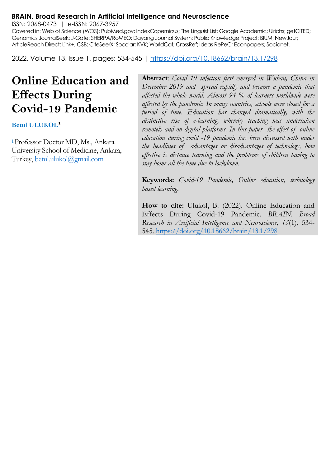#### **BRAIN. Broad Research in Artificial Intelligence and Neuroscience**

ISSN: 2068-0473 | e-ISSN: 2067-3957

Covered in: Web of Science (WOS); PubMed.gov; IndexCopernicus; The Linguist List; Google Academic; Ulrichs; getCITED; Genamics JournalSeek; J-Gate; SHERPA/RoMEO; Dayang Journal System; Public Knowledge Project; BIUM; NewJour; ArticleReach Direct; Link+; CSB; CiteSeerX; Socolar; KVK; WorldCat; CrossRef; Ideas RePeC; Econpapers; Socionet.

2022, Volume 13, Issue 1, pages: 534-545 |<https://doi.org/10.18662/brain/13.1/298>

# **Online Education and Effects During Covid-19 Pandemic**

**Betul ULUKOL¹**

**<sup>1</sup>**Professor Doctor MD, Ms., Ankara University School of Medicine, Ankara, Turkey[, betul.ulukol@gmail.com](mailto:betul.ulukol@gmail.com)

**Abstract**: *Covid 19 infection first emerged in Wuhan, China in December 2019 and spread rapidly and became a pandemic that affected the whole world. Almost 94 % of learners worldwide were affected by the pandemic. In many countries, schools were closed for a period of time. Education has changed dramatically, with the distinctive rise of e-learning, whereby teaching was undertaken remotely and on digital platforms. In this paper the effect of online education during covid -19 pandemic has been discussed with under the headlines of advantages or disadvantages of technology, how effective is distance learning and the problems of children having to stay home all the time due to lockdown.*

**Keywords:** *Covid-19 Pandemic, Online education, technology based learning.*

**How to cite:** Ulukol, B. (2022). Online Education and Effects During Covid-19 Pandemic. *BRAIN. Broad Research in Artificial Intelligence and Neuroscience, 13*(1), 534- 545.<https://doi.org/10.18662/brain/13.1/298>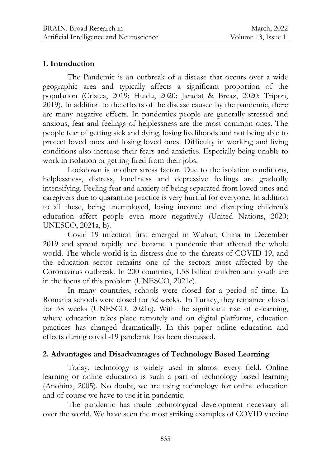## **1. Introduction**

The Pandemic is an outbreak of a disease that occurs over a wide geographic area and typically affects a significant proportion of the population (Cristea, 2019; Huidu, 2020; Jaradat & Breaz, 2020; Tripon, 2019). In addition to the effects of the disease caused by the pandemic, there are many negative effects. In pandemics people are generally stressed and anxious, fear and feelings of helplessness are the most common ones. The people fear of getting sick and dying, losing livelihoods and not being able to protect loved ones and losing loved ones. Difficulty in working and living conditions also increase their fears and anxieties. Especially being unable to work in isolation or getting fired from their jobs.

Lockdown is another stress factor. Due to the isolation conditions, helplessness, distress, loneliness and depressive feelings are gradually intensifying. Feeling fear and anxiety of being separated from loved ones and caregivers due to quarantine practice is very hurtful for everyone. In addition to all these, being unemployed, losing income and disrupting children's education affect people even more negatively (United Nations, 2020; UNESCO, 2021a, b).

Covid 19 infection first emerged in Wuhan, China in December 2019 and spread rapidly and became a pandemic that affected the whole world. The whole world is in distress due to the threats of COVID-19, and the education sector remains one of the sectors most affected by the Coronavirus outbreak. In 200 countries, 1.58 billion children and youth are in the focus of this problem (UNESCO, 2021c).

In many countries, schools were closed for a period of time. In Romania schools were closed for 32 weeks. In Turkey, they remained closed for 38 weeks (UNESCO, 2021c). With the significant rise of e-learning, where education takes place remotely and on digital platforms, education practices has changed dramatically. In this paper online education and effects during covid -19 pandemic has been discussed.

# **2. Advantages and Disadvantages of Technology Based Learning**

Today, technology is widely used in almost every field. Online learning or online education is such a part of technology based learning (Anohina, 2005). No doubt, we are using technology for online education and of course we have to use it in pandemic.

The pandemic has made technological development necessary all over the world. We have seen the most striking examples of COVID vaccine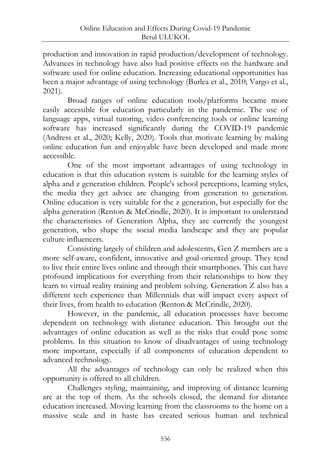production and innovation in rapid production/development of technology. Advances in technology have also had positive effects on the hardware and software used for online education. Increasing educational opportunities has been a major advantage of using technology (Burlea et al., 2010; Vargo et al., 2021).

Broad ranges of online education tools/platforms became more easily accessible for education particularly in the pandemic. The use of language apps, virtual tutoring, video conferencing tools or online learning software has increased significantly during the COVID-19 pandemic (Andress et al., 2020; [Kelly,](https://edition.cnn.com/profiles/samantha-murphy-kelly) 2020). Tools that motivate learning by making online education fun and enjoyable have been developed and made more accessible.

One of the most important advantages of using technology in education is that this education system is suitable for the learning styles of alpha and z generation children. People's school perceptions, learning styles, the media they get advice are changing from generation to generation. Online education is very suitable for the z generation, but especially for the alpha generation (Renton & McCrindle, 2020). It is important to understand the characteristics of Generation Alpha, they are currently the youngest generation, who shape the social media landscape and they are popular culture influencers.

Consisting largely of children and adolescents, Gen Z members are a more self-aware, confident, innovative and goal-oriented group. They tend to live their entire lives online and through their smartphones. This can have profound implications for everything from their relationships to how they learn to virtual reality training and problem solving. Generation Z also has a different tech experience than Millennials that will impact every aspect of their lives, from health to education (Renton & McCrindle, 2020).

However, in the pandemic, all education processes have become dependent on technology with distance education. This brought out the advantages of online education as well as the risks that could pose some problems. In this situation to know of disadvantages of using technology more important, especially if all components of education dependent to advanced technology.

All the advantages of technology can only be realized when this opportunity is offered to all children.

Challenges styling, maintaining, and improving of distance learning are at the top of them. As the schools closed, the demand for distance education increased. Moving learning from the classrooms to the home on a massive scale and in haste has created serious human and technical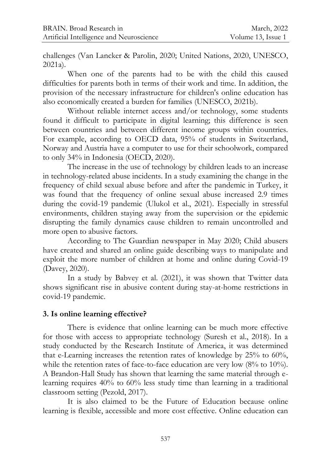challenges (Van Lancker & Parolin, 2020; United Nations, 2020, UNESCO, 2021a).

When one of the parents had to be with the child this caused difficulties for parents both in terms of their work and time. In addition, the provision of the necessary infrastructure for children's online education has also economically created a burden for families (UNESCO, 2021b).

Without reliable internet access and/or technology, some students found it difficult to participate in digital learning; this difference is seen between countries and between different income groups within countries. For example, according to OECD data, 95% of students in Switzerland, Norway and Austria have a computer to use for their schoolwork, compared to only 34% in Indonesia (OECD, 2020).

The increase in the use of technology by children leads to an increase in technology-related abuse incidents. In a study examining the change in the frequency of child sexual abuse before and after the pandemic in Turkey, it was found that the frequency of online sexual abuse increased 2.9 times during the covid-19 pandemic (Ulukol et al., 2021). Especially in stressful environments, children staying away from the supervision or the epidemic disrupting the family dynamics cause children to remain uncontrolled and more open to abusive factors.

According to The Guardian newspaper in May 2020; Child abusers have created and shared an online guide describing ways to manipulate and exploit the more number of children at home and online during Covid-19 (Davey, 2020).

In a study by Babvey et al. (2021), it was shown that Twitter data shows significant rise in abusive content during stay-at-home restrictions in covid-19 pandemic.

#### **3. Is online learning effective?**

There is evidence that online learning can be much more effective for those with access to appropriate technology (Suresh et al., 2018). In a study conducted by the Research Institute of America, it was determined that e-Learning increases the retention rates of knowledge by 25% to 60%, while the retention rates of face-to-face education are very low  $(8\%$  to  $10\%)$ . A Brandon-Hall Study has shown that learning the same material through elearning requires 40% to 60% less study time than learning in a traditional classroom setting (Pezold, 2017).

It is also claimed to be the Future of Education because online learning is flexible, accessible and more cost effective. Online education can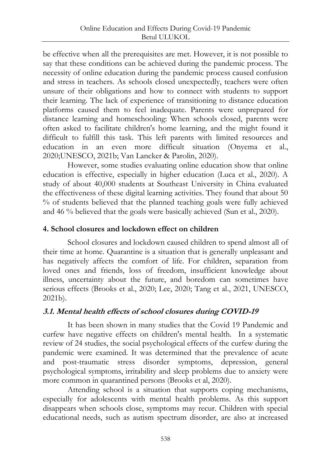be effective when all the prerequisites are met. However, it is not possible to say that these conditions can be achieved during the pandemic process. The necessity of online education during the pandemic process caused confusion and stress in teachers. As schools closed unexpectedly, teachers were often unsure of their obligations and how to connect with students to support their learning. The lack of experience of transitioning to distance education platforms caused them to feel inadequate. Parents were unprepared for distance learning and homeschooling: When schools closed, parents were often asked to facilitate children's home learning, and the might found it difficult to fulfill this task. This left parents with limited resources and education in an even more difficult situation (Onyema et al., 2020;UNESCO, 2021b; Van Lancker & Parolin, 2020).

However, some studies evaluating online education show that online education is effective, especially in higher education (Luca et al., 2020). A study of about 40,000 students at Southeast University in China evaluated the effectiveness of these digital learning activities. They found that about 50 % of students believed that the planned teaching goals were fully achieved and 46 % believed that the goals were basically achieved (Sun et al., 2020).

## **4. School closures and lockdown effect on children**

School closures and lockdown caused children to spend almost all of their time at home. Quarantine is a situation that is generally unpleasant and has negatively affects the comfort of life. For children, separation from loved ones and friends, loss of freedom, insufficient knowledge about illness, uncertainty about the future, and boredom can sometimes have serious effects (Brooks et al., 2020; Lee, 2020; Tang et al., 2021, UNESCO, 2021b).

# **3.1. Mental health effects of school closures during COVID-19**

It has been shown in many studies that the Covid 19 Pandemic and curfew have negative effects on children's mental health. In a systematic review of 24 studies, the social psychological effects of the curfew during the pandemic were examined. It was determined that the prevalence of acute and post-traumatic stress disorder symptoms, depression, general psychological symptoms, irritability and sleep problems due to anxiety were more common in quarantined persons (Brooks et al, 2020).

Attending school is a situation that supports coping mechanisms, especially for adolescents with mental health problems. As this support disappears when schools close, symptoms may recur. Children with special educational needs, such as autism spectrum disorder, are also at increased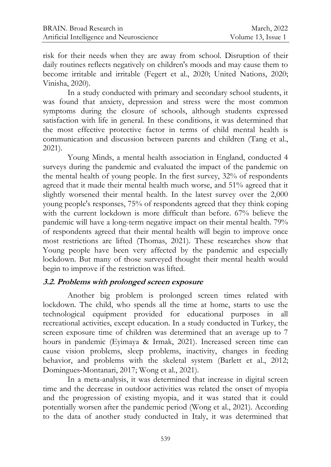risk for their needs when they are away from school. Disruption of their daily routines reflects negatively on children's moods and may cause them to become irritable and irritable (Fegert et al., 2020; United Nations, 2020; Vinisha, 2020).

In a study conducted with primary and secondary school students, it was found that anxiety, depression and stress were the most common symptoms during the closure of schools, although students expressed satisfaction with life in general. In these conditions, it was determined that the most effective protective factor in terms of child mental health is communication and discussion between parents and children (Tang et al., 2021).

Young Minds, a mental health association in England, conducted 4 surveys during the pandemic and evaluated the impact of the pandemic on the mental health of young people. In the first survey, 32% of respondents agreed that it made their mental health much worse, and 51% agreed that it slightly worsened their mental health. In the latest survey over the 2,000 young people's responses, 75% of respondents agreed that they think coping with the current lockdown is more difficult than before. 67% believe the pandemic will have a long-term negative impact on their mental health. 79% of respondents agreed that their mental health will begin to improve once most restrictions are lifted (Thomas, 2021). These researches show that Young people have been very affected by the pandemic and especially lockdown. But many of those surveyed thought their mental health would begin to improve if the restriction was lifted.

## **3.2. Problems with prolonged screen exposure**

Another big problem is prolonged screen times related with lockdown. The child, who spends all the time at home, starts to use the technological equipment provided for educational purposes in all recreational activities, except education. In a study conducted in Turkey, the screen exposure time of children was determined that an average up to 7 hours in pandemic (Eyimaya & Irmak, 2021). Increased screen time can cause vision problems, sleep problems, inactivity, changes in feeding behavior, and problems with the skeletal system (Barlett et al., 2012; Domingues‐Montanari, 2017; Wong et al., 2021).

In a meta-analysis, it was determined that increase in digital screen time and the decrease in outdoor activities was related the onset of myopia and the progression of existing myopia, and it was stated that it could potentially worsen after the pandemic period (Wong et al., 2021). According to the data of another study conducted in Italy, it was determined that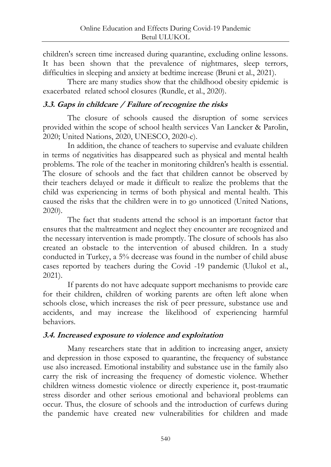children's screen time increased during quarantine, excluding online lessons. It has been shown that the prevalence of nightmares, sleep terrors, difficulties in sleeping and anxiety at bedtime increase (Bruni et al., 2021).

There are many studies show that the childhood obesity epidemic is exacerbated related school closures (Rundle, et al., 2020).

## **3.3. Gaps in childcare / Failure of recognize the risks**

The closure of schools caused the disruption of some services provided within the scope of school health services Van Lancker & Parolin, 2020; United Nations, 2020, UNESCO, 2020-c).

In addition, the chance of teachers to supervise and evaluate children in terms of negativities has disappeared such as physical and mental health problems. The role of the teacher in monitoring children's health is essential. The closure of schools and the fact that children cannot be observed by their teachers delayed or made it difficult to realize the problems that the child was experiencing in terms of both physical and mental health. This caused the risks that the children were in to go unnoticed (United Nations, 2020).

The fact that students attend the school is an important factor that ensures that the maltreatment and neglect they encounter are recognized and the necessary intervention is made promptly. The closure of schools has also created an obstacle to the intervention of abused children. In a study conducted in Turkey, a 5% decrease was found in the number of child abuse cases reported by teachers during the Covid -19 pandemic (Ulukol et al., 2021).

If parents do not have adequate support mechanisms to provide care for their children, children of working parents are often left alone when schools close, which increases the risk of peer pressure, substance use and accidents, and may increase the likelihood of experiencing harmful behaviors.

## **3.4. Increased exposure to violence and exploitation**

Many researchers state that in addition to increasing anger, anxiety and depression in those exposed to quarantine, the frequency of substance use also increased. Emotional instability and substance use in the family also carry the risk of increasing the frequency of domestic violence. Whether children witness domestic violence or directly experience it, post-traumatic stress disorder and other serious emotional and behavioral problems can occur. Thus, the closure of schools and the introduction of curfews during the pandemic have created new vulnerabilities for children and made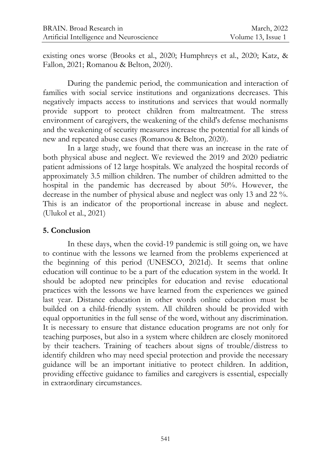existing ones worse (Brooks et al., 2020; Humphreys et al., 2020; Katz, & Fallon, 2021; Romanou & Belton, 2020).

During the pandemic period, the communication and interaction of families with social service institutions and organizations decreases. This negatively impacts access to institutions and services that would normally provide support to protect children from maltreatment. The stress environment of caregivers, the weakening of the child's defense mechanisms and the weakening of security measures increase the potential for all kinds of new and repeated abuse cases (Romanou & Belton, 2020).

In a large study, we found that there was an increase in the rate of both physical abuse and neglect. We reviewed the 2019 and 2020 pediatric patient admissions of 12 large hospitals. We analyzed the hospital records of approximately 3.5 million children. The number of children admitted to the hospital in the pandemic has decreased by about 50%. However, the decrease in the number of physical abuse and neglect was only 13 and 22 %. This is an indicator of the proportional increase in abuse and neglect. (Ulukol et al., 2021)

### **5. Conclusion**

In these days, when the covid-19 pandemic is still going on, we have to continue with the lessons we learned from the problems experienced at the beginning of this period (UNESCO, 2021d). It seems that online education will continue to be a part of the education system in the world. It should be adopted new principles for education and revise educational practices with the lessons we have learned from the experiences we gained last year. Distance education in other words online education must be builded on a child-friendly system. All children should be provided with equal opportunities in the full sense of the word, without any discrimination. It is necessary to ensure that distance education programs are not only for teaching purposes, but also in a system where children are closely monitored by their teachers. Training of teachers about signs of trouble/distress to identify children who may need special protection and provide the necessary guidance will be an important initiative to protect children. In addition, providing effective guidance to families and caregivers is essential, especially in extraordinary circumstances.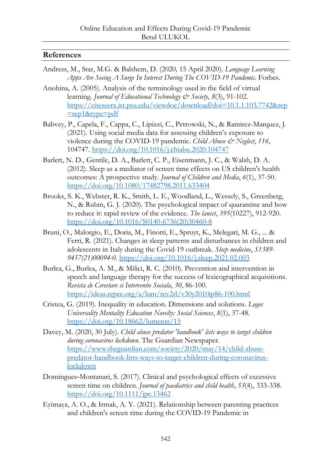#### **References**

- Andress, M., Star, M.G. & Balshem, D. (2020*,* 15 April 2020). *Language Learning Apps Are Seeing A Surge In Interest During The COVID-19 Pandemic*. Forbes.
- Anohina, A. (2005). Analysis of the terminology used in the field of virtual learning. *Journal of Educational Technology & Society*, *8*(3), 91-102. [https://citeseerx.ist.psu.edu/viewdoc/download?doi=10.1.1.103.7742&rep](https://citeseerx.ist.psu.edu/viewdoc/download?doi=10.1.1.103.7742&rep=rep1&type=pdf) [=rep1&type=pdf](https://citeseerx.ist.psu.edu/viewdoc/download?doi=10.1.1.103.7742&rep=rep1&type=pdf)
- Babvey, P., Capela, F., Cappa, C., Lipizzi, C., Petrowski, N., & Ramirez-Marquez, J. (2021). Using social media data for assessing children's exposure to violence during the COVID-19 pandemic. *Child Abuse & Neglect*, *116*, 104747. <https://doi.org/10.1016/j.chiabu.2020.104747>
- Barlett, N. D., Gentile, D. A., Barlett, C. P., Eisenmann, J. C., & Walsh, D. A. (2012). Sleep as a mediator of screen time effects on US children's health outcomes: A prospective study. *Journal of Children and Media*, *6*(1), 37-50. <https://doi.org/10.1080/17482798.2011.633404>
- Brooks, S. K., Webster, R. K., Smith, L. E., Woodland, L., Wessely, S., Greenberg, N., & Rubin, G. J. (2020). The psychological impact of quarantine and how to reduce it: rapid review of the evidence. *The lancet*, *395*(10227), 912-920. [https://doi.org/10.1016/S0140-6736\(20\)30460-8](https://doi.org/10.1016/S0140-6736(20)30460-8)
- Bruni, O., Malorgio, E., Doria, M., Finotti, E., Spruyt, K., Melegari, M. G., ... & Ferri, R. (2021). Changes in sleep patterns and disturbances in children and adolescents in Italy during the Covid-19 outbreak. *Sleep medicine*, *S1389- 9457(21)00094-0.* <https://doi.org/10.1016/j.sleep.2021.02.003>
- Burlea, G., Burlea, A. M., & Milici, R. C. (2010). Prevention and intervention in speech and language therapy for the success of lexicographical acquisitions. *Revista de Cercetare si Interventie Sociala*, *30*, 86-100. <https://ideas.repec.org/a/lum/rev2rl/v30y2010ip86-100.html>
- Cristea, G. (2019). Inequality in education. Dimensions and solutions. *Logos Universality Mentality Education Novelty: Social Sciences*, *8*(1), 37-48. <https://doi.org/10.18662/lumenss/15>
- Davey, M. (2020, 30 July). *Child abuse predator 'handbook' lists ways to target children during coronavirus lockdown*. The Guardian Newspaper. [https://www.theguardian.com/society/2020/may/14/child-abuse](https://www.theguardian.com/society/2020/may/14/child-abuse-predator-handbook-lists-ways-to-target-children-during-coronavirus-lockdown)[predator-handbook-lists-ways-to-target-children-during-coronavirus](https://www.theguardian.com/society/2020/may/14/child-abuse-predator-handbook-lists-ways-to-target-children-during-coronavirus-lockdown)[lockdown](https://www.theguardian.com/society/2020/may/14/child-abuse-predator-handbook-lists-ways-to-target-children-during-coronavirus-lockdown)
- Domingues‐Montanari, S. (2017). Clinical and psychological effects of excessive screen time on children. *Journal of paediatrics and child health*, *53*(4), 333-338. <https://doi.org/10.1111/jpc.13462>
- Eyimaya, A. O., & Irmak, A. Y. (2021). Relationship between parenting practices and children's screen time during the COVID-19 Pandemic in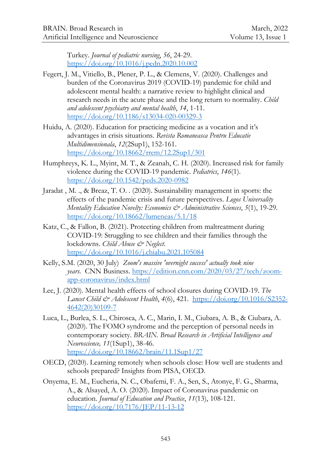Turkey. *Journal of pediatric nursing*, *56*, 24-29. <https://doi.org/10.1016/j.pedn.2020.10.002>

- Fegert, J. M., Vitiello, B., Plener, P. L., & Clemens, V. (2020). Challenges and burden of the Coronavirus 2019 (COVID-19) pandemic for child and adolescent mental health: a narrative review to highlight clinical and research needs in the acute phase and the long return to normality. *Child and adolescent psychiatry and mental health*, *14*, 1-11. <https://doi.org/10.1186/s13034-020-00329-3>
- Huidu, A. (2020). Education for practicing medicine as a vocation and it's advantages in crisis situations. *Revista Romaneasca Pentru Educatie Multidimensionala*, *12*(2Sup1), 152-161. <https://doi.org/10.18662/rrem/12.2Sup1/301>
- Humphreys, K. L., Myint, M. T., & Zeanah, C. H. (2020). Increased risk for family violence during the COVID-19 pandemic. *Pediatrics*, *146*(1). <https://doi.org/10.1542/peds.2020-0982>
- Jaradat , M. ., & Breaz, T. O. . (2020). Sustainability management in sports: the effects of the pandemic crisis and future perspectives. *Logos Universality Mentality Education Novelty: Economics & Administrative Sciences*, *5*(1), 19-29. <https://doi.org/10.18662/lumeneas/5.1/18>
- Katz, C., & Fallon, B. (2021). Protecting children from maltreatment during COVID-19: Struggling to see children and their families through the lockdowns. *Child Abuse & Neglect*. <https://doi.org/10.1016/j.chiabu.2021.105084>
- [Kelly,](https://edition.cnn.com/profiles/samantha-murphy-kelly) S.M. (2020, 30 July) *Zoom's massive 'overnight success' actually took nine years.* [CNN Business.](https://www.cnn.com/business) [https://edition.cnn.com/2020/03/27/tech/zoom](https://edition.cnn.com/2020/03/27/tech/zoom-app-coronavirus/index.html)[app-coronavirus/index.html](https://edition.cnn.com/2020/03/27/tech/zoom-app-coronavirus/index.html)
- Lee, J. (2020). Mental health effects of school closures during COVID-19. *The Lancet Child & Adolescent Health*, *4*(6), 421. [https://doi.org/10.1016/S2352-](https://doi.org/10.1016/S2352-4642(20)30109-7) [4642\(20\)30109-7](https://doi.org/10.1016/S2352-4642(20)30109-7)
- Luca, L., Burlea, S. L., Chirosca, A. C., Marin, I. M., Ciubara, A. B., & Ciubara, A. (2020). The FOMO syndrome and the perception of personal needs in contemporary society. *BRAIN. Broad Research in Artificial Intelligence and Neuroscience, 11*(1Sup1), 38-46. <https://doi.org/10.18662/brain/11.1Sup1/27>
- OECD, (2020). Learning remotely when schools close: How well are students and schools prepared? Insights from PISA, OECD.
- Onyema, E. M., Eucheria, N. C., Obafemi, F. A., Sen, S., Atonye, F. G., Sharma, A., & Alsayed, A. O. (2020). Impact of Coronavirus pandemic on education. *Journal of Education and Practice*, *11*(13), 108-121. <https://doi.org/10.7176/JEP/11-13-12>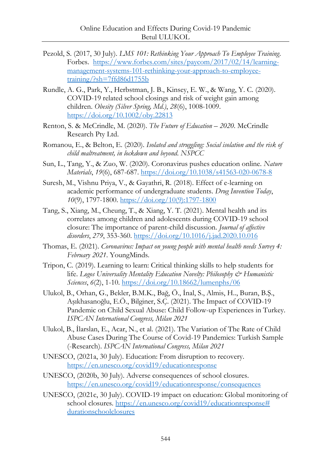- Pezold, S. (2017, 30 July). *LMS 101: Rethinking Your Approach To Employee Training*. Forbes. [https://www.forbes.com/sites/paycom/2017/02/14/learning](https://www.forbes.com/sites/paycom/2017/02/14/learning-management-systems-101-rethinking-your-approach-to-employee-training/?sh=7ffd86d1755b)[management-systems-101-rethinking-your-approach-to-employee](https://www.forbes.com/sites/paycom/2017/02/14/learning-management-systems-101-rethinking-your-approach-to-employee-training/?sh=7ffd86d1755b)[training/?sh=7ffd86d1755b](https://www.forbes.com/sites/paycom/2017/02/14/learning-management-systems-101-rethinking-your-approach-to-employee-training/?sh=7ffd86d1755b)
- Rundle, A. G., Park, Y., Herbstman, J. B., Kinsey, E. W., & Wang, Y. C. (2020). COVID-19 related school closings and risk of weight gain among children. *Obesity (Silver Spring, Md.)*, *28*(6), 1008-1009. <https://doi.org/10.1002/oby.22813>
- Renton, S. & McCrindle, M. (2020). *The Future of Education – 2020*. McCrindle Research Pty Ltd.
- Romanou, E., & Belton, E. (2020). *Isolated and struggling: Social isolation and the risk of child maltreatment, in lockdown and beyond*. *NSPCC*
- Sun, L., Tang, Y., & Zuo, W. (2020). Coronavirus pushes education online. *Nature Materials*, *19*(6), 687-687.<https://doi.org/10.1038/s41563-020-0678-8>
- Suresh, M., Vishnu Priya, V., & Gayathri, R. (2018). Effect of e-learning on academic performance of undergraduate students. *Drug Invention Today*, *10*(9), 1797-1800[. https://doi.org/10\(9\):1797-1800](https://doi.org/10(9):1797-1800)
- Tang, S., Xiang, M., Cheung, T., & Xiang, Y. T. (2021). Mental health and its correlates among children and adolescents during COVID-19 school closure: The importance of parent-child discussion. *Journal of affective disorders*, *279*, 353-360[. https://doi.org/10.1016/j.jad.2020.10.016](https://doi.org/10.1016/j.jad.2020.10.016)
- Thomas, E. (2021). *Coronavirus: Impact on young people with mental health needs Survey 4: February 2021*. YoungMinds*.*
- Tripon, C. (2019). Learning to learn: Critical thinking skills to help students for life. *Logos Universality Mentality Education Novelty: Philosophy & Humanistic Sciences*, *6*(2), 1-10.<https://doi.org/10.18662/lumenphs/06>
- Ulukol, B., Orhan, G., Bekler, B.M.K., Bağ, Ö., İnal, S., Almis, H.., Buran, B.Ş., Aşıkhasanoğlu, E.Ö., Bilginer, S.Ç. (2021). The Impact of COVID-19 Pandemic on Child Sexual Abuse: Child Follow-up Experiences in Turkey. *ISPCAN International Congress, Milan 2021*
- Ulukol, B., İlarslan, E., Acar, N., et al. (2021). The Variation of The Rate of Child Abuse Cases During The Course of Covid-19 Pandemics: Turkish Sample (-Research). *ISPCAN International Congress, Milan 2021*
- UNESCO, (2021a, 30 July). Education: From disruption to recovery. <https://en.unesco.org/covid19/educationresponse>
- UNESCO, (2020b, 30 July). Adverse consequences of school closures. <https://en.unesco.org/covid19/educationresponse/consequences>
- UNESCO, (2021c, 30 July). COVID-19 impact on education: Global monitoring of school closures. [https://en.unesco.org/covid19/educationresponse#](https://en.unesco.org/covid19/educationresponse#durationschoolclosures) [durationschoolclosures](https://en.unesco.org/covid19/educationresponse#durationschoolclosures)